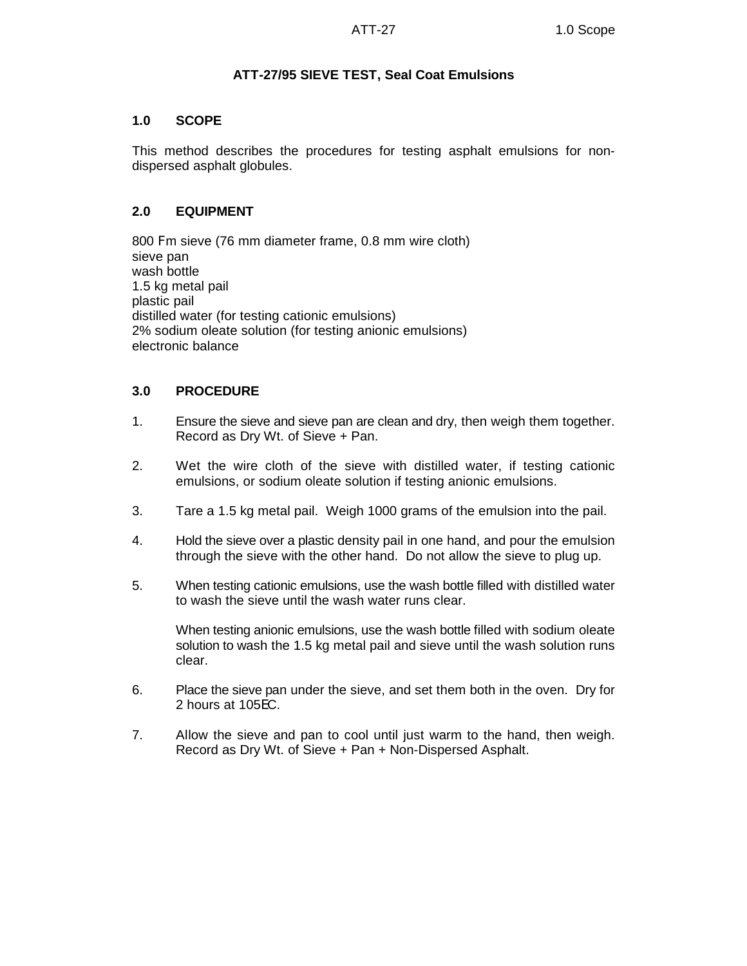# **ATT-27/95 SIEVE TEST, Seal Coat Emulsions**

#### **1.0 SCOPE**

This method describes the procedures for testing asphalt emulsions for nondispersed asphalt globules.

## **2.0 EQUIPMENT**

800 Fm sieve (76 mm diameter frame, 0.8 mm wire cloth) sieve pan wash bottle 1.5 kg metal pail plastic pail distilled water (for testing cationic emulsions) 2% sodium oleate solution (for testing anionic emulsions) electronic balance

#### **3.0 PROCEDURE**

- 1. Ensure the sieve and sieve pan are clean and dry, then weigh them together. Record as Dry Wt. of Sieve + Pan.
- 2. Wet the wire cloth of the sieve with distilled water, if testing cationic emulsions, or sodium oleate solution if testing anionic emulsions.
- 3. Tare a 1.5 kg metal pail. Weigh 1000 grams of the emulsion into the pail.
- 4. Hold the sieve over a plastic density pail in one hand, and pour the emulsion through the sieve with the other hand. Do not allow the sieve to plug up.
- 5. When testing cationic emulsions, use the wash bottle filled with distilled water to wash the sieve until the wash water runs clear.

When testing anionic emulsions, use the wash bottle filled with sodium oleate solution to wash the 1.5 kg metal pail and sieve until the wash solution runs clear.

- 6. Place the sieve pan under the sieve, and set them both in the oven. Dry for 2 hours at 105EC.
- 7. Allow the sieve and pan to cool until just warm to the hand, then weigh. Record as Dry Wt. of Sieve + Pan + Non-Dispersed Asphalt.